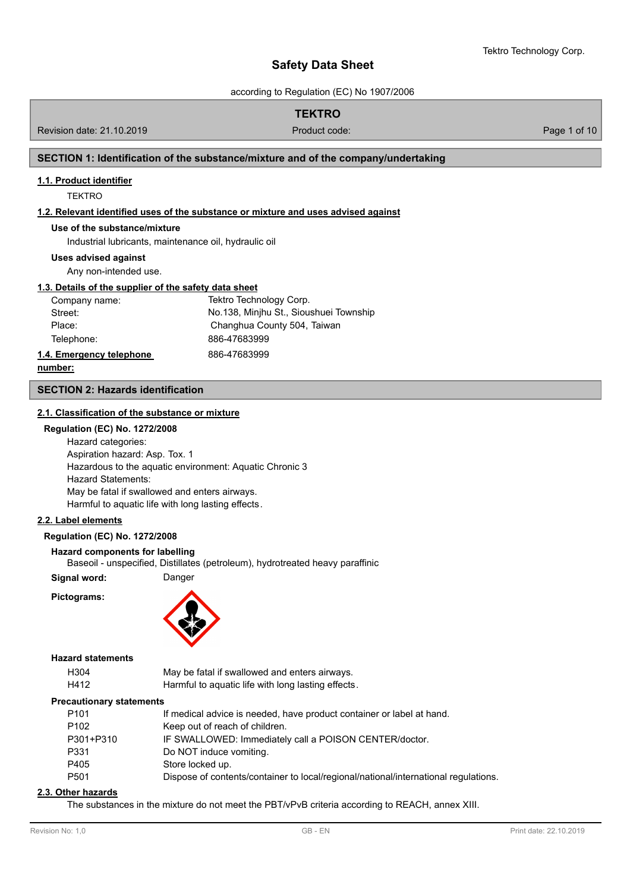according to Regulation (EC) No 1907/2006

# **TEKTRO**

Revision date: 21.10.2019 Product code: Page 1 of 10

# **SECTION 1: Identification of the substance/mixture and of the company/undertaking**

# **1.1. Product identifier**

**TEKTRO** 

# **1.2. Relevant identified uses of the substance or mixture and uses advised against**

# **Use of the substance/mixture**

Industrial lubricants, maintenance oil, hydraulic oil

## **Uses advised against**

Any non-intended use.

# **1.3. Details of the supplier of the safety data sheet**

| Company name:            | Tektro Technology Corp.                |
|--------------------------|----------------------------------------|
| Street:                  | No.138, Minjhu St., Sioushuei Township |
| Place:                   | Changhua County 504, Taiwan            |
| Telephone:               | 886-47683999                           |
| 1.4. Emergency telephone | 886-47683999                           |

**number:**

#### **SECTION 2: Hazards identification**

#### **2.1. Classification of the substance or mixture**

# **Regulation (EC) No. 1272/2008**

Hazard categories: Aspiration hazard: Asp. Tox. 1 Hazardous to the aquatic environment: Aquatic Chronic 3 Hazard Statements: May be fatal if swallowed and enters airways. Harmful to aquatic life with long lasting effects.

# **2.2. Label elements**

# **Regulation (EC) No. 1272/2008**

#### **Hazard components for labelling**

Baseoil - unspecified, Distillates (petroleum), hydrotreated heavy paraffinic

**Signal word:** Danger

**Pictograms:**



# **Hazard statements**

| H304 | May be fatal if swallowed and enters airways.      |
|------|----------------------------------------------------|
| H412 | Harmful to aquatic life with long lasting effects. |

#### **Precautionary statements**

| P <sub>101</sub> | If medical advice is needed, have product container or label at hand.               |
|------------------|-------------------------------------------------------------------------------------|
| P <sub>102</sub> | Keep out of reach of children.                                                      |
| P301+P310        | IF SWALLOWED: Immediately call a POISON CENTER/doctor.                              |
| P331             | Do NOT induce vomiting.                                                             |
| P405             | Store locked up.                                                                    |
| P <sub>501</sub> | Dispose of contents/container to local/regional/national/international regulations. |
|                  |                                                                                     |

#### **2.3. Other hazards**

The substances in the mixture do not meet the PBT/vPvB criteria according to REACH, annex XIII.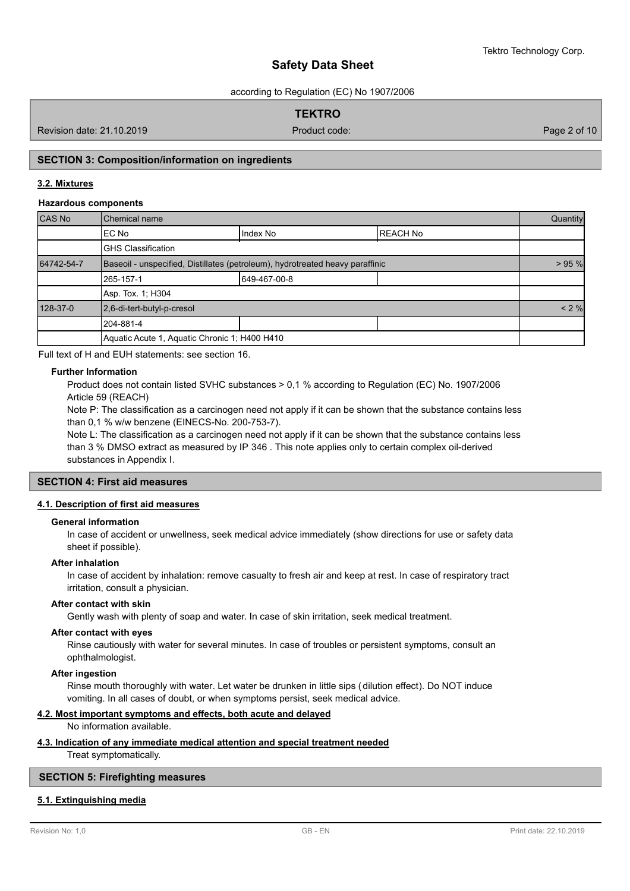according to Regulation (EC) No 1907/2006

# **TEKTRO**

Revision date: 21.10.2019 Product code: Page 2 of 10

# **SECTION 3: Composition/information on ingredients**

# **3.2. Mixtures**

# **Hazardous components**

| CAS No     | Chemical name                                                                 |              |                 | Quantity |  |
|------------|-------------------------------------------------------------------------------|--------------|-----------------|----------|--|
|            | EC No                                                                         | Index No     | <b>REACH No</b> |          |  |
|            | <b>GHS Classification</b>                                                     |              |                 |          |  |
| 64742-54-7 | Baseoil - unspecified, Distillates (petroleum), hydrotreated heavy paraffinic |              |                 | > 95 %   |  |
|            | 265-157-1                                                                     | 649-467-00-8 |                 |          |  |
|            | Asp. Tox. 1; H304                                                             |              |                 |          |  |
| 128-37-0   | 2,6-di-tert-butyl-p-cresol                                                    |              |                 | < 2 %    |  |
|            | 204-881-4                                                                     |              |                 |          |  |
|            | Aquatic Acute 1, Aquatic Chronic 1; H400 H410                                 |              |                 |          |  |

Full text of H and EUH statements: see section 16.

#### **Further Information**

Product does not contain listed SVHC substances > 0,1 % according to Regulation (EC) No. 1907/2006 Article 59 (REACH)

Note P: The classification as a carcinogen need not apply if it can be shown that the substance contains less than 0,1 % w/w benzene (EINECS-No. 200-753-7).

Note L: The classification as a carcinogen need not apply if it can be shown that the substance contains less than 3 % DMSO extract as measured by IP 346 . This note applies only to certain complex oil-derived substances in Appendix I.

# **SECTION 4: First aid measures**

# **4.1. Description of first aid measures**

#### **General information**

In case of accident or unwellness, seek medical advice immediately (show directions for use or safety data sheet if possible).

#### **After inhalation**

In case of accident by inhalation: remove casualty to fresh air and keep at rest. In case of respiratory tract irritation, consult a physician.

#### **After contact with skin**

Gently wash with plenty of soap and water. In case of skin irritation, seek medical treatment.

# **After contact with eyes**

Rinse cautiously with water for several minutes. In case of troubles or persistent symptoms, consult an ophthalmologist.

#### **After ingestion**

Rinse mouth thoroughly with water. Let water be drunken in little sips (dilution effect). Do NOT induce vomiting. In all cases of doubt, or when symptoms persist, seek medical advice.

# **4.2. Most important symptoms and effects, both acute and delayed**

No information available.

# **4.3. Indication of any immediate medical attention and special treatment needed**

Treat symptomatically.

# **SECTION 5: Firefighting measures**

# **5.1. Extinguishing media**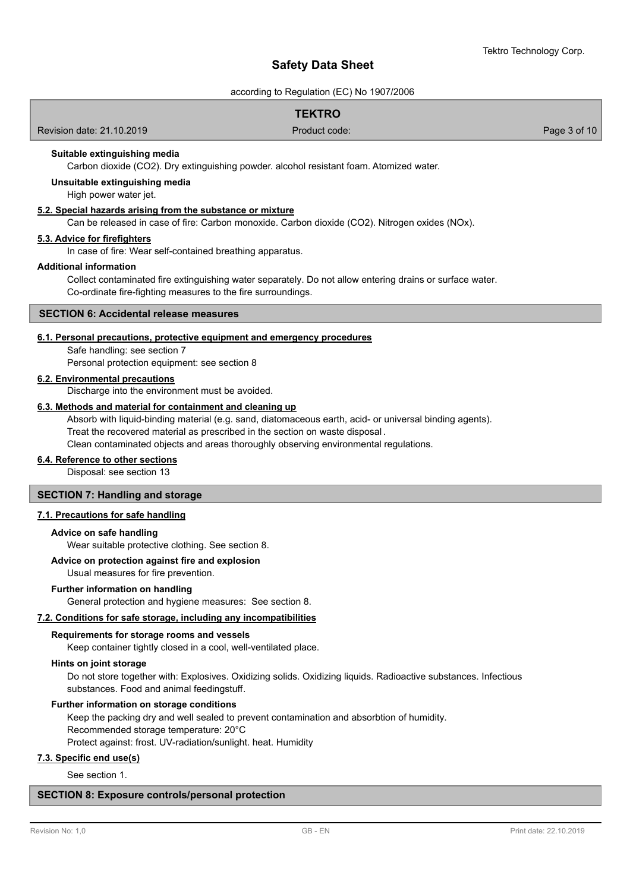according to Regulation (EC) No 1907/2006

# **TEKTRO**

Revision date: 21.10.2019 Product code: Page 3 of 10

# **Suitable extinguishing media**

Carbon dioxide (CO2). Dry extinguishing powder. alcohol resistant foam. Atomized water.

**Unsuitable extinguishing media**

High power water jet.

# **5.2. Special hazards arising from the substance or mixture**

Can be released in case of fire: Carbon monoxide. Carbon dioxide (CO2). Nitrogen oxides (NOx).

# **5.3. Advice for firefighters**

In case of fire: Wear self-contained breathing apparatus.

### **Additional information**

Collect contaminated fire extinguishing water separately. Do not allow entering drains or surface water. Co-ordinate fire-fighting measures to the fire surroundings.

## **SECTION 6: Accidental release measures**

#### **6.1. Personal precautions, protective equipment and emergency procedures**

Safe handling: see section 7 Personal protection equipment: see section 8

#### **6.2. Environmental precautions**

Discharge into the environment must be avoided.

# **6.3. Methods and material for containment and cleaning up**

Absorb with liquid-binding material (e.g. sand, diatomaceous earth, acid- or universal binding agents). Treat the recovered material as prescribed in the section on waste disposal . Clean contaminated objects and areas thoroughly observing environmental regulations.

#### **6.4. Reference to other sections**

Disposal: see section 13

# **SECTION 7: Handling and storage**

## **7.1. Precautions for safe handling**

#### **Advice on safe handling**

Wear suitable protective clothing. See section 8.

# **Advice on protection against fire and explosion**

# Usual measures for fire prevention.

## **Further information on handling**

General protection and hygiene measures: See section 8.

#### **7.2. Conditions for safe storage, including any incompatibilities**

#### **Requirements for storage rooms and vessels**

Keep container tightly closed in a cool, well-ventilated place.

#### **Hints on joint storage**

Do not store together with: Explosives. Oxidizing solids. Oxidizing liquids. Radioactive substances. Infectious substances. Food and animal feedingstuff.

#### **Further information on storage conditions**

Keep the packing dry and well sealed to prevent contamination and absorbtion of humidity. Recommended storage temperature: 20°C

Protect against: frost. UV-radiation/sunlight. heat. Humidity

# **7.3. Specific end use(s)**

See section 1.

# **SECTION 8: Exposure controls/personal protection**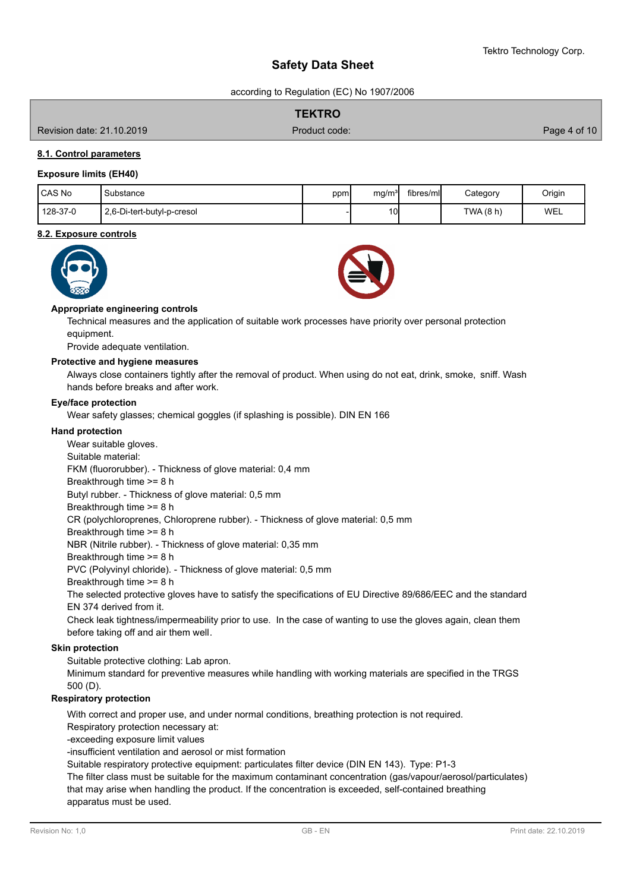according to Regulation (EC) No 1907/2006

|                           | <b>TEKTRO</b> |                  |
|---------------------------|---------------|------------------|
| Revision date: 21.10.2019 | Product code: | Page 4 of 10 $ $ |

# **8.1. Control parameters**

### **Exposure limits (EH40)**

| <b>CAS No</b> | Substance                  | ppm | ma/m <sup>3</sup> | fibres/ml | Category | Origin |
|---------------|----------------------------|-----|-------------------|-----------|----------|--------|
| 128-37-0      | 2,6-Di-tert-butyl-p-cresol |     | 10 <sup>1</sup>   |           | TWA(8 h) | WEL    |

#### **8.2. Exposure controls**





#### **Appropriate engineering controls**

Technical measures and the application of suitable work processes have priority over personal protection equipment.

Provide adequate ventilation.

#### **Protective and hygiene measures**

Always close containers tightly after the removal of product. When using do not eat, drink, smoke, sniff. Wash hands before breaks and after work.

#### **Eye/face protection**

Wear safety glasses; chemical goggles (if splashing is possible). DIN EN 166

#### **Hand protection**

Wear suitable gloves. Suitable material: FKM (fluororubber). - Thickness of glove material: 0,4 mm Breakthrough time >= 8 h Butyl rubber. - Thickness of glove material: 0,5 mm Breakthrough time >= 8 h CR (polychloroprenes, Chloroprene rubber). - Thickness of glove material: 0,5 mm Breakthrough time >= 8 h NBR (Nitrile rubber). - Thickness of glove material: 0,35 mm Breakthrough time >= 8 h PVC (Polyvinyl chloride). - Thickness of glove material: 0,5 mm Breakthrough time >= 8 h The selected protective gloves have to satisfy the specifications of EU Directive 89/686/EEC and the standard EN 374 derived from it. Check leak tightness/impermeability prior to use. In the case of wanting to use the gloves again, clean them before taking off and air them well. Suitable protective clothing: Lab apron. **Skin protection**

Minimum standard for preventive measures while handling with working materials are specified in the TRGS 500 (D).

#### **Respiratory protection**

With correct and proper use, and under normal conditions, breathing protection is not required.

Respiratory protection necessary at:

-exceeding exposure limit values

-insufficient ventilation and aerosol or mist formation

Suitable respiratory protective equipment: particulates filter device (DIN EN 143). Type: P1-3

The filter class must be suitable for the maximum contaminant concentration (gas/vapour/aerosol/particulates) that may arise when handling the product. If the concentration is exceeded, self-contained breathing

apparatus must be used.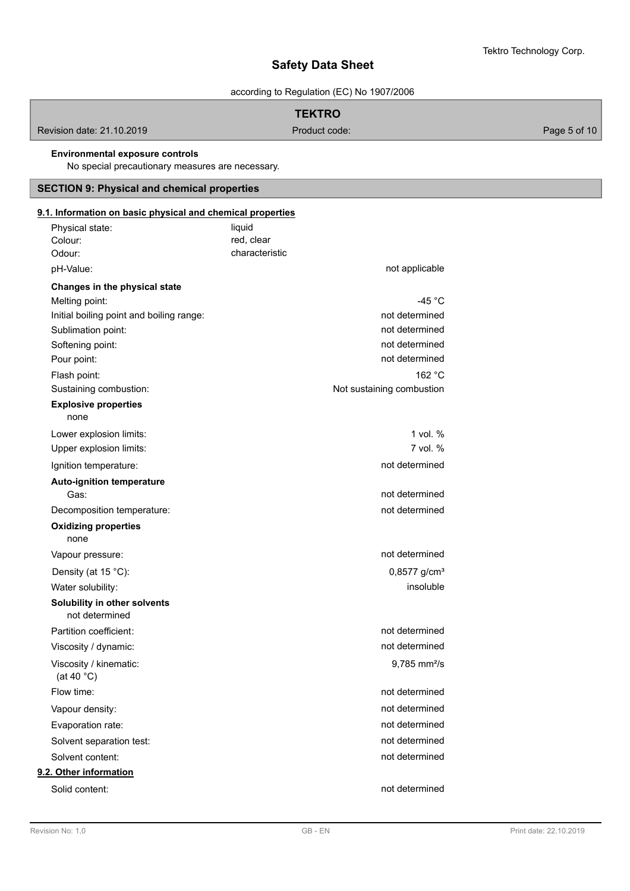according to Regulation (EC) No 1907/2006

# **TEKTRO**

Revision date: 21.10.2019 **Product code:** Product code: Page 5 of 10

# **Environmental exposure controls**

No special precautionary measures are necessary.

# **SECTION 9: Physical and chemical properties**

| 9.1. Information on basic physical and chemical properties |                |                            |
|------------------------------------------------------------|----------------|----------------------------|
| Physical state:                                            | liquid         |                            |
| Colour:                                                    | red, clear     |                            |
| Odour:                                                     | characteristic |                            |
| pH-Value:                                                  |                | not applicable             |
| Changes in the physical state                              |                |                            |
| Melting point:                                             |                | -45 $^{\circ}$ C           |
| Initial boiling point and boiling range:                   |                | not determined             |
| Sublimation point:                                         |                | not determined             |
| Softening point:                                           |                | not determined             |
| Pour point:                                                |                | not determined             |
| Flash point:                                               |                | 162 °C                     |
| Sustaining combustion:                                     |                | Not sustaining combustion  |
| <b>Explosive properties</b><br>none                        |                |                            |
| Lower explosion limits:                                    |                | 1 vol. %                   |
| Upper explosion limits:                                    |                | $7$ vol. $%$               |
| Ignition temperature:                                      |                | not determined             |
| <b>Auto-ignition temperature</b><br>Gas:                   |                | not determined             |
| Decomposition temperature:                                 |                | not determined             |
| <b>Oxidizing properties</b>                                |                |                            |
| none                                                       |                |                            |
| Vapour pressure:                                           |                | not determined             |
| Density (at 15 °C):                                        |                | $0,8577$ g/cm <sup>3</sup> |
| Water solubility:                                          |                | insoluble                  |
| Solubility in other solvents<br>not determined             |                |                            |
| Partition coefficient:                                     |                | not determined             |
| Viscosity / dynamic:                                       |                | not determined             |
| Viscosity / kinematic:<br>(at 40 $^{\circ}$ C)             |                | $9,785$ mm <sup>2</sup> /s |
| Flow time:                                                 |                | not determined             |
| Vapour density:                                            |                | not determined             |
| Evaporation rate:                                          |                | not determined             |
| Solvent separation test:                                   |                | not determined             |
| Solvent content:                                           |                | not determined             |
| 9.2. Other information                                     |                |                            |
| Solid content:                                             |                | not determined             |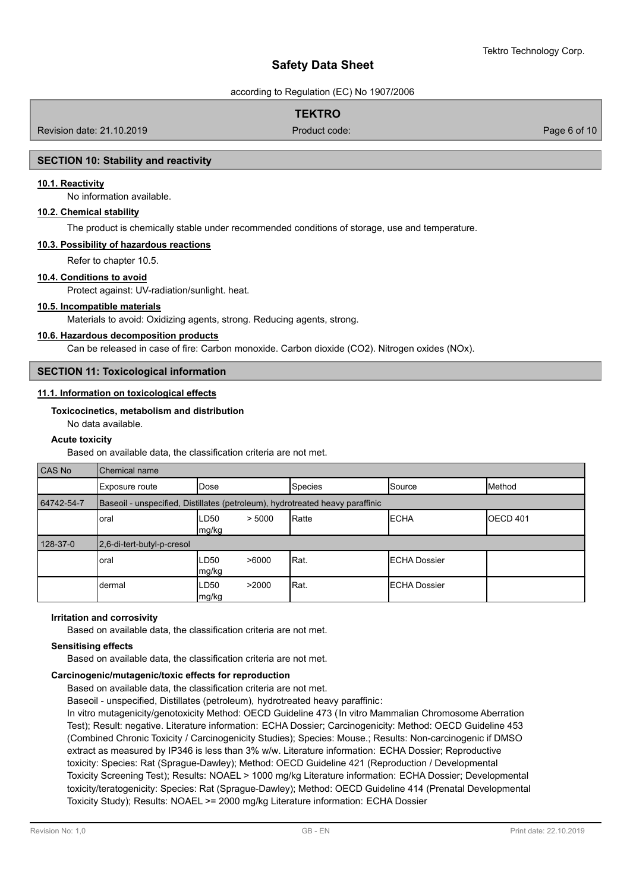according to Regulation (EC) No 1907/2006

# **TEKTRO**

Revision date: 21.10.2019 Product code: Page 6 of 10

# **SECTION 10: Stability and reactivity**

## **10.1. Reactivity**

No information available.

# **10.2. Chemical stability**

The product is chemically stable under recommended conditions of storage, use and temperature.

## **10.3. Possibility of hazardous reactions**

Refer to chapter 10.5.

#### **10.4. Conditions to avoid**

Protect against: UV-radiation/sunlight. heat.

# **10.5. Incompatible materials**

Materials to avoid: Oxidizing agents, strong. Reducing agents, strong.

#### **10.6. Hazardous decomposition products**

Can be released in case of fire: Carbon monoxide. Carbon dioxide (CO2). Nitrogen oxides (NOx).

# **SECTION 11: Toxicological information**

# **11.1. Information on toxicological effects**

# **Toxicocinetics, metabolism and distribution**

# No data available.

# **Acute toxicity**

Based on available data, the classification criteria are not met.

| CAS No     | Chemical name                                                                 |                         |                |                      |                  |  |
|------------|-------------------------------------------------------------------------------|-------------------------|----------------|----------------------|------------------|--|
|            | Exposure route                                                                | <b>IDose</b>            | <b>Species</b> | Source               | Method           |  |
| 64742-54-7 | Baseoil - unspecified, Distillates (petroleum), hydrotreated heavy paraffinic |                         |                |                      |                  |  |
|            | oral                                                                          | LD50<br>> 5000<br>mg/kg | Ratte          | <b>IECHA</b>         | <b>IOECD 401</b> |  |
| 128-37-0   | 2,6-di-tert-butyl-p-cresol                                                    |                         |                |                      |                  |  |
|            | oral                                                                          | LD50<br>>6000<br>mg/kg  | Rat.           | <b>IECHA Dossier</b> |                  |  |
|            | dermal                                                                        | >2000<br>LD50<br>mg/kg  | Rat.           | <b>IECHA Dossier</b> |                  |  |

# **Irritation and corrosivity**

Based on available data, the classification criteria are not met.

#### **Sensitising effects**

Based on available data, the classification criteria are not met.

## **Carcinogenic/mutagenic/toxic effects for reproduction**

Based on available data, the classification criteria are not met.

Baseoil - unspecified, Distillates (petroleum), hydrotreated heavy paraffinic:

In vitro mutagenicity/genotoxicity Method: OECD Guideline 473 (In vitro Mammalian Chromosome Aberration Test); Result: negative. Literature information: ECHA Dossier; Carcinogenicity: Method: OECD Guideline 453 (Combined Chronic Toxicity / Carcinogenicity Studies); Species: Mouse.; Results: Non-carcinogenic if DMSO extract as measured by IP346 is less than 3% w/w. Literature information: ECHA Dossier; Reproductive toxicity: Species: Rat (Sprague-Dawley); Method: OECD Guideline 421 (Reproduction / Developmental Toxicity Screening Test); Results: NOAEL > 1000 mg/kg Literature information: ECHA Dossier; Developmental toxicity/teratogenicity: Species: Rat (Sprague-Dawley); Method: OECD Guideline 414 (Prenatal Developmental Toxicity Study); Results: NOAEL >= 2000 mg/kg Literature information: ECHA Dossier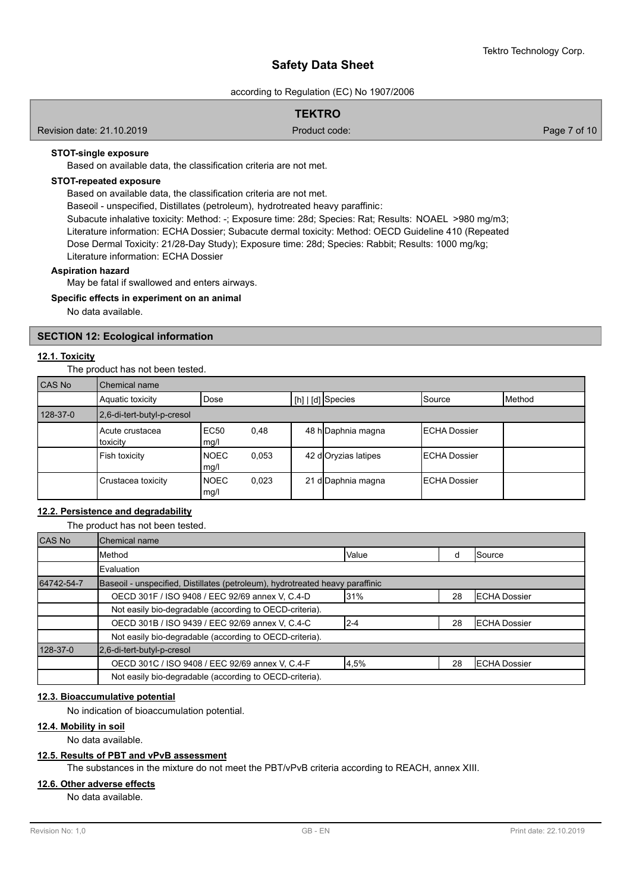according to Regulation (EC) No 1907/2006

# **TEKTRO**

Revision date: 21.10.2019 Product code: Page 7 of 10

# **STOT-single exposure**

Based on available data, the classification criteria are not met.

# **STOT-repeated exposure**

Based on available data, the classification criteria are not met.

Baseoil - unspecified, Distillates (petroleum), hydrotreated heavy paraffinic:

Subacute inhalative toxicity: Method: -; Exposure time: 28d; Species: Rat; Results: NOAEL >980 mg/m3; Literature information: ECHA Dossier; Subacute dermal toxicity: Method: OECD Guideline 410 (Repeated Dose Dermal Toxicity: 21/28-Day Study); Exposure time: 28d; Species: Rabbit; Results: 1000 mg/kg; Literature information: ECHA Dossier

#### **Aspiration hazard**

May be fatal if swallowed and enters airways.

# **Specific effects in experiment on an animal**

No data available.

# **SECTION 12: Ecological information**

# **12.1. Toxicity**

The product has not been tested.

| CAS No   | Chemical name               |                     |       |  |                     |                      |        |
|----------|-----------------------------|---------------------|-------|--|---------------------|----------------------|--------|
|          | Aquatic toxicity            | Dose                |       |  | [[h]   [d] Species  | ISource              | Method |
| 128-37-0 | 2,6-di-tert-butyl-p-cresol  |                     |       |  |                     |                      |        |
|          | Acute crustacea<br>toxicity | <b>EC50</b><br>mg/l | 0,48  |  | 48 h Daphnia magna  | <b>IECHA Dossier</b> |        |
|          | Fish toxicity               | <b>NOEC</b><br>mg/l | 0,053 |  | 42 doryzias latipes | <b>IECHA Dossier</b> |        |
|          | Crustacea toxicity          | <b>NOEC</b><br>mg/l | 0,023 |  | 21 d Daphnia magna  | <b>IECHA Dossier</b> |        |

# **12.2. Persistence and degradability**

The product has not been tested.

| CAS No     | Chemical name                                                                 |         |    |                      |  |  |
|------------|-------------------------------------------------------------------------------|---------|----|----------------------|--|--|
|            | Method                                                                        | Value   | d  | ISource              |  |  |
|            | Evaluation                                                                    |         |    |                      |  |  |
| 64742-54-7 | Baseoil - unspecified, Distillates (petroleum), hydrotreated heavy paraffinic |         |    |                      |  |  |
|            | OECD 301F / ISO 9408 / EEC 92/69 annex V, C.4-D                               | 31%     | 28 | <b>ECHA Dossier</b>  |  |  |
|            | Not easily bio-degradable (according to OECD-criteria).                       |         |    |                      |  |  |
|            | OECD 301B / ISO 9439 / EEC 92/69 annex V, C.4-C                               | $2 - 4$ | 28 | <b>IECHA Dossier</b> |  |  |
|            | Not easily bio-degradable (according to OECD-criteria).                       |         |    |                      |  |  |
| 128-37-0   | 2,6-di-tert-butyl-p-cresol                                                    |         |    |                      |  |  |
|            | OECD 301C / ISO 9408 / EEC 92/69 annex V, C.4-F                               | 4,5%    | 28 | <b>ECHA Dossier</b>  |  |  |
|            | Not easily bio-degradable (according to OECD-criteria).                       |         |    |                      |  |  |

#### **12.3. Bioaccumulative potential**

No indication of bioaccumulation potential.

#### **12.4. Mobility in soil**

No data available.

## **12.5. Results of PBT and vPvB assessment**

The substances in the mixture do not meet the PBT/vPvB criteria according to REACH, annex XIII.

#### **12.6. Other adverse effects**

No data available.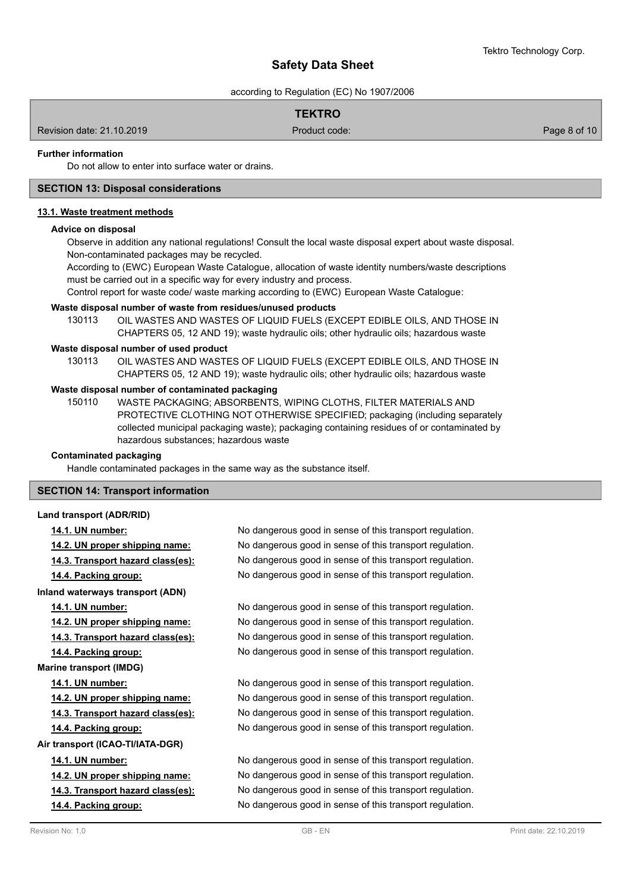according to Regulation (EC) No 1907/2006

# **TEKTRO**

Revision date: 21.10.2019 Product code: Page 8 of 10

# **Further information**

Do not allow to enter into surface water or drains.

# **SECTION 13: Disposal considerations**

#### **13.1. Waste treatment methods**

#### **Advice on disposal**

Observe in addition any national regulations! Consult the local waste disposal expert about waste disposal. Non-contaminated packages may be recycled.

According to (EWC) European Waste Catalogue, allocation of waste identity numbers/waste descriptions must be carried out in a specific way for every industry and process.

Control report for waste code/ waste marking according to (EWC) European Waste Catalogue:

#### **Waste disposal number of waste from residues/unused products**

130113 OIL WASTES AND WASTES OF LIQUID FUELS (EXCEPT EDIBLE OILS, AND THOSE IN CHAPTERS 05, 12 AND 19); waste hydraulic oils; other hydraulic oils; hazardous waste

#### **Waste disposal number of used product**

OIL WASTES AND WASTES OF LIQUID FUELS (EXCEPT EDIBLE OILS, AND THOSE IN CHAPTERS 05, 12 AND 19); waste hydraulic oils; other hydraulic oils; hazardous waste 130113

## **Waste disposal number of contaminated packaging**

WASTE PACKAGING; ABSORBENTS, WIPING CLOTHS, FILTER MATERIALS AND PROTECTIVE CLOTHING NOT OTHERWISE SPECIFIED; packaging (including separately collected municipal packaging waste); packaging containing residues of or contaminated by hazardous substances; hazardous waste 150110

# **Contaminated packaging**

Handle contaminated packages in the same way as the substance itself.

### **SECTION 14: Transport information**

#### **Land transport (ADR/RID)**

**Inland waterways transport (ADN)**

**Marine transport (IMDG)**

**Air transport (ICAO-TI/IATA-DGR)**

**14.1. UN number:** No dangerous good in sense of this transport regulation. **14.2. UN proper shipping name:** No dangerous good in sense of this transport regulation. **14.3. Transport hazard class(es):** No dangerous good in sense of this transport regulation. **14.4. Packing group:** No dangerous good in sense of this transport regulation.

**14.1. UN number:** No dangerous good in sense of this transport regulation. **14.2. UN proper shipping name:** No dangerous good in sense of this transport regulation. **14.3. Transport hazard class(es):** No dangerous good in sense of this transport regulation. **14.4. Packing group:** No dangerous good in sense of this transport regulation.

**14.1. UN number:** No dangerous good in sense of this transport regulation. **14.2. UN proper shipping name:** No dangerous good in sense of this transport regulation. **14.3. Transport hazard class(es):** No dangerous good in sense of this transport regulation. **14.4. Packing group:** No dangerous good in sense of this transport regulation.

**14.1. UN number:** No dangerous good in sense of this transport regulation. **14.2. UN proper shipping name:** No dangerous good in sense of this transport regulation. **14.3. Transport hazard class(es):** No dangerous good in sense of this transport regulation. **14.4. Packing group:** No dangerous good in sense of this transport regulation.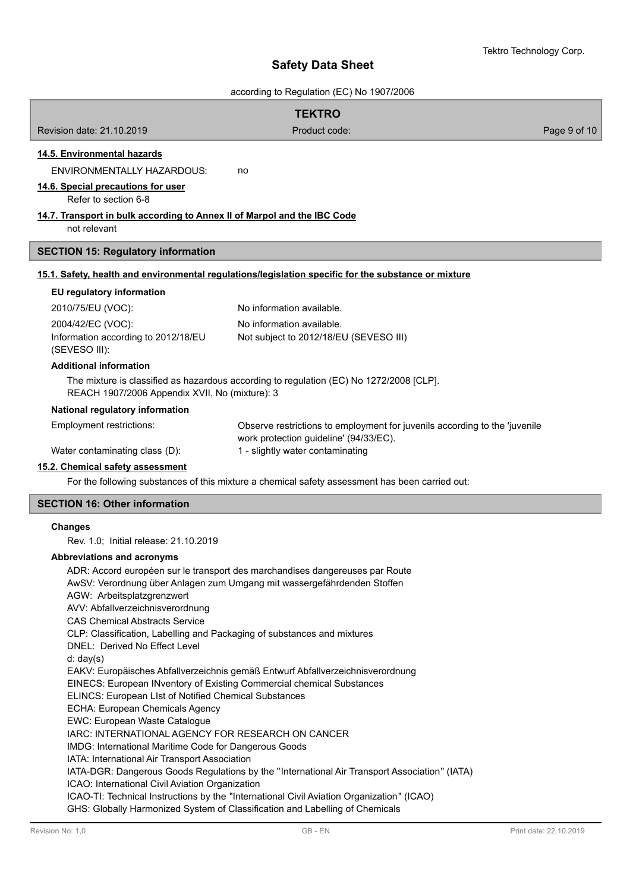| <b>TEKTRO</b><br>Revision date: 21.10.2019<br>Product code:<br>Page 9 of 10<br>14.5. Environmental hazards<br><b>ENVIRONMENTALLY HAZARDOUS:</b><br>no<br>14.6. Special precautions for user<br>Refer to section 6-8<br>14.7. Transport in bulk according to Annex II of Marpol and the IBC Code<br>not relevant<br><b>SECTION 15: Regulatory information</b><br>15.1. Safety, health and environmental regulations/legislation specific for the substance or mixture<br>EU regulatory information<br>No information available.<br>2010/75/EU (VOC):<br>2004/42/EC (VOC):<br>No information available.<br>Information according to 2012/18/EU<br>Not subject to 2012/18/EU (SEVESO III)<br>(SEVESO III):<br><b>Additional information</b> |
|------------------------------------------------------------------------------------------------------------------------------------------------------------------------------------------------------------------------------------------------------------------------------------------------------------------------------------------------------------------------------------------------------------------------------------------------------------------------------------------------------------------------------------------------------------------------------------------------------------------------------------------------------------------------------------------------------------------------------------------|
|                                                                                                                                                                                                                                                                                                                                                                                                                                                                                                                                                                                                                                                                                                                                          |
|                                                                                                                                                                                                                                                                                                                                                                                                                                                                                                                                                                                                                                                                                                                                          |
|                                                                                                                                                                                                                                                                                                                                                                                                                                                                                                                                                                                                                                                                                                                                          |
|                                                                                                                                                                                                                                                                                                                                                                                                                                                                                                                                                                                                                                                                                                                                          |
|                                                                                                                                                                                                                                                                                                                                                                                                                                                                                                                                                                                                                                                                                                                                          |
|                                                                                                                                                                                                                                                                                                                                                                                                                                                                                                                                                                                                                                                                                                                                          |
|                                                                                                                                                                                                                                                                                                                                                                                                                                                                                                                                                                                                                                                                                                                                          |
|                                                                                                                                                                                                                                                                                                                                                                                                                                                                                                                                                                                                                                                                                                                                          |
|                                                                                                                                                                                                                                                                                                                                                                                                                                                                                                                                                                                                                                                                                                                                          |
|                                                                                                                                                                                                                                                                                                                                                                                                                                                                                                                                                                                                                                                                                                                                          |
|                                                                                                                                                                                                                                                                                                                                                                                                                                                                                                                                                                                                                                                                                                                                          |
|                                                                                                                                                                                                                                                                                                                                                                                                                                                                                                                                                                                                                                                                                                                                          |
|                                                                                                                                                                                                                                                                                                                                                                                                                                                                                                                                                                                                                                                                                                                                          |
|                                                                                                                                                                                                                                                                                                                                                                                                                                                                                                                                                                                                                                                                                                                                          |
|                                                                                                                                                                                                                                                                                                                                                                                                                                                                                                                                                                                                                                                                                                                                          |
| The mixture is classified as hazardous according to regulation (EC) No 1272/2008 [CLP].<br>REACH 1907/2006 Appendix XVII, No (mixture): 3                                                                                                                                                                                                                                                                                                                                                                                                                                                                                                                                                                                                |
| National regulatory information                                                                                                                                                                                                                                                                                                                                                                                                                                                                                                                                                                                                                                                                                                          |
| Employment restrictions:<br>Observe restrictions to employment for juvenils according to the 'juvenile<br>work protection guideline' (94/33/EC).                                                                                                                                                                                                                                                                                                                                                                                                                                                                                                                                                                                         |
| 1 - slightly water contaminating<br>Water contaminating class (D):                                                                                                                                                                                                                                                                                                                                                                                                                                                                                                                                                                                                                                                                       |
| 15.2. Chemical safety assessment                                                                                                                                                                                                                                                                                                                                                                                                                                                                                                                                                                                                                                                                                                         |
| For the following substances of this mixture a chemical safety assessment has been carried out:                                                                                                                                                                                                                                                                                                                                                                                                                                                                                                                                                                                                                                          |
| <b>SECTION 16: Other information</b>                                                                                                                                                                                                                                                                                                                                                                                                                                                                                                                                                                                                                                                                                                     |
| <b>Changes</b>                                                                                                                                                                                                                                                                                                                                                                                                                                                                                                                                                                                                                                                                                                                           |
| Rev. 1.0; Initial release: 21.10.2019                                                                                                                                                                                                                                                                                                                                                                                                                                                                                                                                                                                                                                                                                                    |
| Abbreviations and acronyms                                                                                                                                                                                                                                                                                                                                                                                                                                                                                                                                                                                                                                                                                                               |
| ADR: Accord européen sur le transport des marchandises dangereuses par Route                                                                                                                                                                                                                                                                                                                                                                                                                                                                                                                                                                                                                                                             |
| AwSV: Verordnung über Anlagen zum Umgang mit wassergefährdenden Stoffen<br>AGW: Arbeitsplatzgrenzwert                                                                                                                                                                                                                                                                                                                                                                                                                                                                                                                                                                                                                                    |
| AVV: Abfallverzeichnisverordnung                                                                                                                                                                                                                                                                                                                                                                                                                                                                                                                                                                                                                                                                                                         |
| <b>CAS Chemical Abstracts Service</b>                                                                                                                                                                                                                                                                                                                                                                                                                                                                                                                                                                                                                                                                                                    |
| CLP: Classification, Labelling and Packaging of substances and mixtures                                                                                                                                                                                                                                                                                                                                                                                                                                                                                                                                                                                                                                                                  |
| DNEL: Derived No Effect Level                                                                                                                                                                                                                                                                                                                                                                                                                                                                                                                                                                                                                                                                                                            |
| d: day(s)                                                                                                                                                                                                                                                                                                                                                                                                                                                                                                                                                                                                                                                                                                                                |
| EAKV: Europäisches Abfallverzeichnis gemäß Entwurf Abfallverzeichnisverordnung<br>EINECS: European INventory of Existing Commercial chemical Substances                                                                                                                                                                                                                                                                                                                                                                                                                                                                                                                                                                                  |
| ELINCS: European List of Notified Chemical Substances                                                                                                                                                                                                                                                                                                                                                                                                                                                                                                                                                                                                                                                                                    |
| ECHA: European Chemicals Agency                                                                                                                                                                                                                                                                                                                                                                                                                                                                                                                                                                                                                                                                                                          |
| EWC: European Waste Catalogue                                                                                                                                                                                                                                                                                                                                                                                                                                                                                                                                                                                                                                                                                                            |
| IARC: INTERNATIONAL AGENCY FOR RESEARCH ON CANCER                                                                                                                                                                                                                                                                                                                                                                                                                                                                                                                                                                                                                                                                                        |
| IMDG: International Maritime Code for Dangerous Goods<br>IATA: International Air Transport Association                                                                                                                                                                                                                                                                                                                                                                                                                                                                                                                                                                                                                                   |
| IATA-DGR: Dangerous Goods Regulations by the "International Air Transport Association" (IATA)                                                                                                                                                                                                                                                                                                                                                                                                                                                                                                                                                                                                                                            |
| ICAO: International Civil Aviation Organization                                                                                                                                                                                                                                                                                                                                                                                                                                                                                                                                                                                                                                                                                          |
| ICAO-TI: Technical Instructions by the "International Civil Aviation Organization" (ICAO)<br>GHS: Globally Harmonized System of Classification and Labelling of Chemicals                                                                                                                                                                                                                                                                                                                                                                                                                                                                                                                                                                |